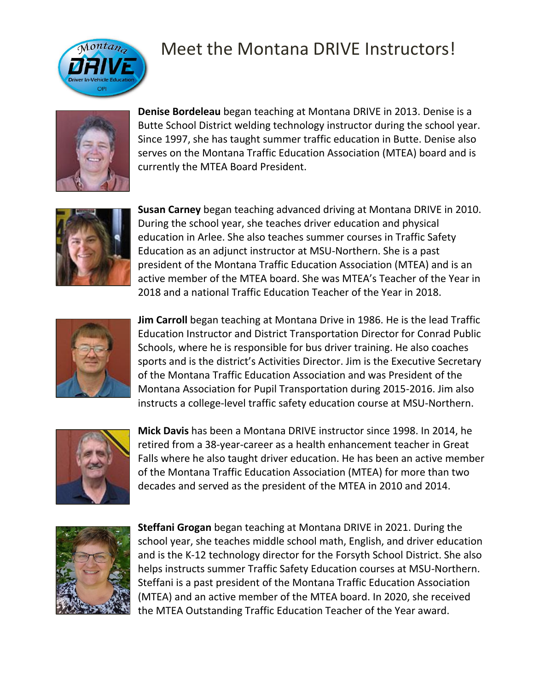

## Meet the Montana DRIVE Instructors!



**Denise Bordeleau** began teaching at Montana DRIVE in 2013. Denise is a Butte School District welding technology instructor during the school year. Since 1997, she has taught summer traffic education in Butte. Denise also serves on the Montana Traffic Education Association (MTEA) board and is currently the MTEA Board President.



**Susan Carney** began teaching advanced driving at Montana DRIVE in 2010. During the school year, she teaches driver education and physical education in Arlee. She also teaches summer courses in Traffic Safety Education as an adjunct instructor at MSU-Northern. She is a past president of the Montana Traffic Education Association (MTEA) and is an active member of the MTEA board. She was MTEA's Teacher of the Year in 2018 and a national Traffic Education Teacher of the Year in 2018.



**Jim Carroll** began teaching at Montana Drive in 1986. He is the lead Traffic Education Instructor and District Transportation Director for Conrad Public Schools, where he is responsible for bus driver training. He also coaches sports and is the district's Activities Director. Jim is the Executive Secretary of the Montana Traffic Education Association and was President of the Montana Association for Pupil Transportation during 2015-2016. Jim also instructs a college-level traffic safety education course at MSU-Northern.



**Mick Davis** has been a Montana DRIVE instructor since 1998. In 2014, he retired from a 38-year-career as a health enhancement teacher in Great Falls where he also taught driver education. He has been an active member of the Montana Traffic Education Association (MTEA) for more than two decades and served as the president of the MTEA in 2010 and 2014.



**Steffani Grogan** began teaching at Montana DRIVE in 2021. During the school year, she teaches middle school math, English, and driver education and is the K-12 technology director for the Forsyth School District. She also helps instructs summer Traffic Safety Education courses at MSU-Northern. Steffani is a past president of the Montana Traffic Education Association (MTEA) and an active member of the MTEA board. In 2020, she received the MTEA Outstanding Traffic Education Teacher of the Year award.